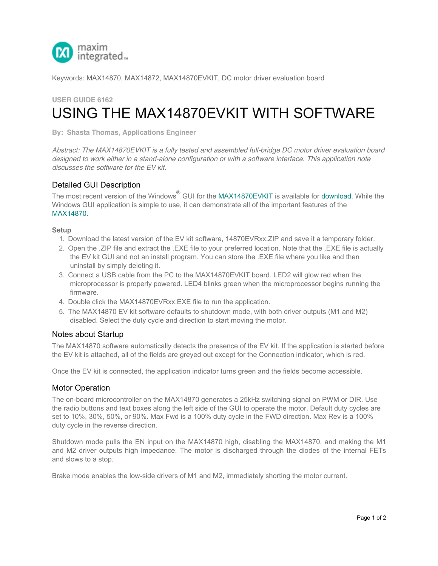

Keywords: MAX14870, MAX14872, MAX14870EVKIT, DC motor driver evaluation board

# **USER GUIDE 6162** USING THE MAX14870EVKIT WITH SOFTWARE

**[By: Shasta Thomas, Ap](http://www.maximintegrated.com/en/)plications Engineer**

*Abstract: The MAX14870EVKIT is a fully tested and assembled full-bridge DC motor driver evaluation board designed to work either in a stand-alone configuration or with a software interface. This application note discusses the software for the EV kit.*

## Detailed GUI Description

The most recent version of the Windows $^{\circledR}$  GUI for the MAX14870EVKIT is available for download. While the Windows GUI application is simple to use, it can demonstrate all of the important features of the MAX14870.

#### **Setup**

- 1. Download the latest version of the EV kit software, 14870EVRxx.ZIP and save it a temporary folder.
- 2. Open the .ZIP file and extract the .EXE file to your preferred location. Note that the .EXE file is actually the EV kit GUI and not an install program. You can store the .EXE file where you like and then uninstall by simply deleting it.
- 3. Connect a USB cable from the PC to the MAX14[870EVKIT board.](http://www.maximintegrated.com/en/products/MAX14870EVKIT) LED2 will glow [red when](http://www.maximintegrated.com/en/products/power/power-switching/MAX14870EVKIT.html/tb_tab2) the microprocessor is properly powered. LED4 blinks green when the microprocessor begins running the [firmwa](http://www.maximintegrated.com/en/products/MAX14870)re.
- 4. Double click the MAX14870EVRxx.EXE file to run the application.
- 5. The MAX14870 EV kit software defaults to shutdown mode, with both driver outputs (M1 and M2) disabled. Select the duty cycle and direction to start moving the motor.

## Notes about Startup

The MAX14870 software automatically detects the presence of the EV kit. If the application is started before the EV kit is attached, all of the fields are greyed out except for the Connection indicator, which is red.

Once the EV kit is connected, the application indicator turns green and the fields become accessible.

## Motor Operation

The on-board microcontroller on the MAX14870 generates a 25kHz switching signal on PWM or DIR. Use the radio buttons and text boxes along the left side of the GUI to operate the motor. Default duty cycles are set to 10%, 30%, 50%, or 90%. Max Fwd is a 100% duty cycle in the FWD direction. Max Rev is a 100% duty cycle in the reverse direction.

Shutdown mode pulls the EN input on the MAX14870 high, disabling the MAX14870, and making the M1 and M2 driver outputs high impedance. The motor is discharged through the diodes of the internal FETs and slows to a stop.

Brake mode enables the low-side drivers of M1 and M2, immediately shorting the motor current.